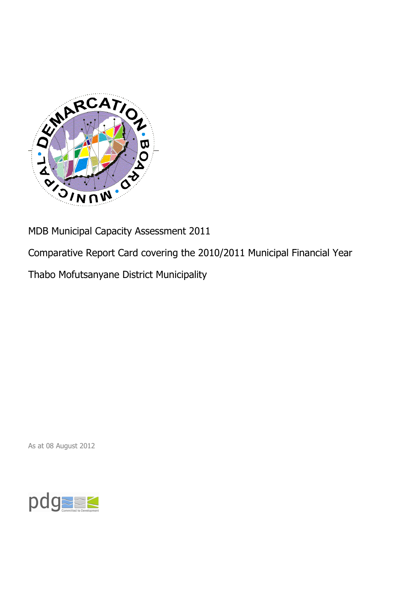

MDB Municipal Capacity Assessment 2011

Comparative Report Card covering the 2010/2011 Municipal Financial Year

Thabo Mofutsanyane District Municipality

As at 08 August 2012

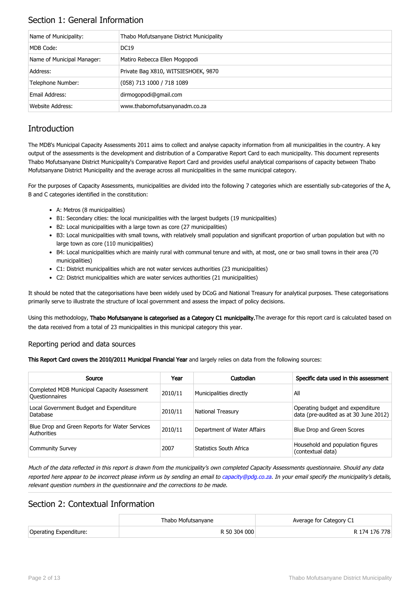## Section 1: General Information

| Name of Municipality:      | Thabo Mofutsanyane District Municipality |
|----------------------------|------------------------------------------|
| MDB Code:                  | <b>DC19</b>                              |
| Name of Municipal Manager: | Matiro Rebecca Ellen Mogopodi            |
| Address:                   | Private Bag X810, WITSIESHOEK, 9870      |
| Telephone Number:          | (058) 713 1000 / 718 1089                |
| Email Address:             | dirmogopodi@gmail.com                    |
| <b>Website Address:</b>    | www.thabomofutsanyanadm.co.za            |

## **Introduction**

The MDB's Municipal Capacity Assessments 2011 aims to collect and analyse capacity information from all municipalities in the country. A key output of the assessments is the development and distribution of a Comparative Report Card to each municipality. This document represents Thabo Mofutsanyane District Municipality's Comparative Report Card and provides useful analytical comparisons of capacity between Thabo Mofutsanyane District Municipality and the average across all municipalities in the same municipal category.

For the purposes of Capacity Assessments, municipalities are divided into the following 7 categories which are essentially sub-categories of the A, B and C categories identified in the constitution:

- A: Metros (8 municipalities)
- B1: Secondary cities: the local municipalities with the largest budgets (19 municipalities)
- B2: Local municipalities with a large town as core (27 municipalities)
- B3: Local municipalities with small towns, with relatively small population and significant proportion of urban population but with no large town as core (110 municipalities)
- B4: Local municipalities which are mainly rural with communal tenure and with, at most, one or two small towns in their area (70 municipalities)
- C1: District municipalities which are not water services authorities (23 municipalities)
- C2: District municipalities which are water services authorities (21 municipalities)

It should be noted that the categorisations have been widely used by DCoG and National Treasury for analytical purposes. These categorisations primarily serve to illustrate the structure of local government and assess the impact of policy decisions.

Using this methodology, Thabo Mofutsanyane is categorised as a Category C1 municipality. The average for this report card is calculated based on the data received from a total of 23 municipalities in this municipal category this year.

#### Reporting period and data sources

This Report Card covers the 2010/2011 Municipal Financial Year and largely relies on data from the following sources:

| Source                                                               | Year    | Custodian                   | Specific data used in this assessment                                     |
|----------------------------------------------------------------------|---------|-----------------------------|---------------------------------------------------------------------------|
| Completed MDB Municipal Capacity Assessment<br><b>Ouestionnaires</b> | 2010/11 | Municipalities directly     | All                                                                       |
| Local Government Budget and Expenditure<br>Database                  | 2010/11 | <b>National Treasury</b>    | Operating budget and expenditure<br>data (pre-audited as at 30 June 2012) |
| Blue Drop and Green Reports for Water Services<br>Authorities        | 2010/11 | Department of Water Affairs | Blue Drop and Green Scores                                                |
| <b>Community Survey</b>                                              | 2007    | Statistics South Africa     | Household and population figures<br>(contextual data)                     |

Much of the data reflected in this report is drawn from the municipality's own completed Capacity Assessments questionnaire. Should any data reported here appear to be incorrect please inform us by sending an email to [capacity@pdg.co.za](mailto:capacity@pdg.co.za). In your email specify the municipality's details, relevant question numbers in the questionnaire and the corrections to be made.

## Section 2: Contextual Information

|                        | Thabo Mofutsanvane | Average for Category C1 |
|------------------------|--------------------|-------------------------|
| Operating Expenditure: | R 50 304 000       | R 174 176 778           |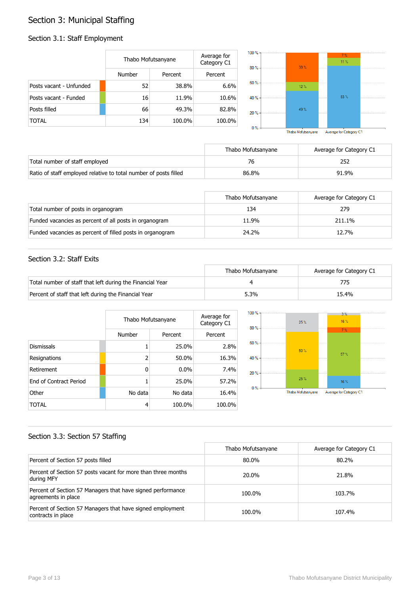# Section 3: Municipal Staffing

## Section 3.1: Staff Employment

|                         | Thabo Mofutsanyane |         | Average for<br>Category C1 | $100 \%$<br>80% |  |
|-------------------------|--------------------|---------|----------------------------|-----------------|--|
|                         | <b>Number</b>      | Percent | Percent                    |                 |  |
| Posts vacant - Unfunded | 52                 | 38.8%   | 6.6%                       | 60%             |  |
| Posts vacant - Funded   | 16                 | 11.9%   | 10.6%                      | 40%             |  |
| Posts filled            | 66                 | 49.3%   | 82.8%                      | 20%             |  |
| <b>TOTAL</b>            | 134                | 100.0%  | 100.0%                     | <b>COLOR</b>    |  |



|                                                                  | Thabo Mofutsanyane | Average for Category C1 |
|------------------------------------------------------------------|--------------------|-------------------------|
| Total number of staff employed                                   | 76                 |                         |
| Ratio of staff employed relative to total number of posts filled | 86.8%              | 91.9%                   |

|                                                           | Thabo Mofutsanyane | Average for Category C1 |
|-----------------------------------------------------------|--------------------|-------------------------|
| Total number of posts in organogram                       | 134                | 279                     |
| Funded vacancies as percent of all posts in organogram    | 11.9%              | 211.1%                  |
| Funded vacancies as percent of filled posts in organogram | 24.2%              | 12.7%                   |

### Section 3.2: Staff Exits

|                                                           | Thabo Mofutsanvane | Average for Category C1 |
|-----------------------------------------------------------|--------------------|-------------------------|
| Total number of staff that left during the Financial Year |                    |                         |
| Percent of staff that left during the Financial Year      | 5.3%               | 15.4%                   |

|                               |         | Thabo Mofutsanyane |         |
|-------------------------------|---------|--------------------|---------|
|                               | Number  | Percent            | Percent |
| <b>Dismissals</b>             |         | 25.0%              | 2.8%    |
| Resignations                  | 2       | 50.0%              | 16.3%   |
| Retirement                    | 0       | $0.0\%$            | 7.4%    |
| <b>Fnd of Contract Period</b> |         | 25.0%              | 57.2%   |
| Other                         | No data | No data            | 16.4%   |
| TOTAL                         | 4       | 100.0%             | 100.0%  |



### Section 3.3: Section 57 Staffing

|                                                                                    | Thabo Mofutsanyane | Average for Category C1 |
|------------------------------------------------------------------------------------|--------------------|-------------------------|
| Percent of Section 57 posts filled                                                 | 80.0%              | 80.2%                   |
| Percent of Section 57 posts vacant for more than three months<br>during MFY        | 20.0%              | 21.8%                   |
| Percent of Section 57 Managers that have signed performance<br>agreements in place | 100.0%             | 103.7%                  |
| Percent of Section 57 Managers that have signed employment<br>contracts in place   | 100.0%             | 107.4%                  |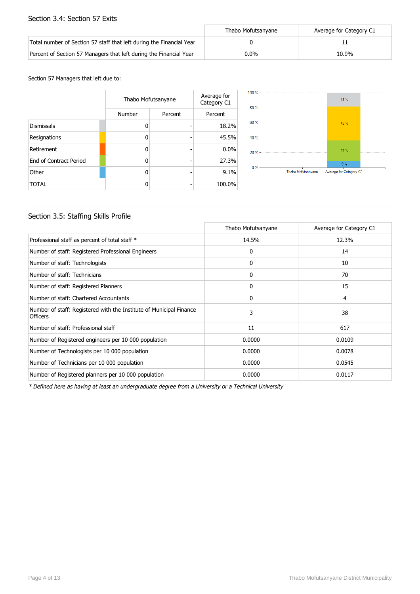#### Section 3.4: Section 57 Exits

|                                                                      | Thabo Mofutsanvane | Average for Category C1 |
|----------------------------------------------------------------------|--------------------|-------------------------|
| Total number of Section 57 staff that left during the Financial Year |                    |                         |
| Percent of Section 57 Managers that left during the Financial Year   | 0.0%               | 10.9%                   |

Section 57 Managers that left due to:

|                        | Thabo Mofutsanyane |         | Average for<br>Category C1 |
|------------------------|--------------------|---------|----------------------------|
|                        | Number             | Percent | Percent                    |
| <b>Dismissals</b>      | ŋ                  |         | 18.2%                      |
| Resignations           | n                  |         | 45.5%                      |
| Retirement             | ŋ                  |         | 0.0%                       |
| End of Contract Period | ŋ                  |         | 27.3%                      |
| Other                  | ŋ                  |         | 9.1%                       |
| <b>TOTAL</b>           |                    |         | 100.0%                     |



### Section 3.5: Staffing Skills Profile

|                                                                                        | Thabo Mofutsanyane | Average for Category C1 |
|----------------------------------------------------------------------------------------|--------------------|-------------------------|
| Professional staff as percent of total staff *                                         | 14.5%              | 12.3%                   |
| Number of staff: Registered Professional Engineers                                     | 0                  | 14                      |
| Number of staff: Technologists                                                         | 0                  | 10                      |
| Number of staff: Technicians                                                           | $\mathbf{0}$       | 70                      |
| Number of staff: Registered Planners                                                   | 0                  | 15                      |
| Number of staff: Chartered Accountants                                                 | 0                  | 4                       |
| Number of staff: Registered with the Institute of Municipal Finance<br><b>Officers</b> | 3                  | 38                      |
| Number of staff: Professional staff                                                    | 11                 | 617                     |
| Number of Registered engineers per 10 000 population                                   | 0.0000             | 0.0109                  |
| Number of Technologists per 10 000 population                                          | 0.0000             | 0.0078                  |
| Number of Technicians per 10 000 population                                            | 0.0000             | 0.0545                  |
| Number of Registered planners per 10 000 population                                    | 0.0000             | 0.0117                  |

\* Defined here as having at least an undergraduate degree from a University or a Technical University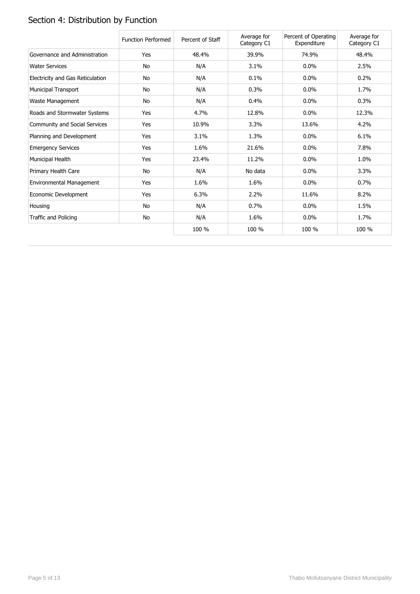# Section 4: Distribution by Function

|                                  | <b>Function Performed</b> | Percent of Staff | Average for<br>Category C1 | Percent of Operating<br>Expenditure | Average for<br>Category C1 |
|----------------------------------|---------------------------|------------------|----------------------------|-------------------------------------|----------------------------|
| Governance and Administration    | Yes                       | 48.4%            | 39.9%                      | 74.9%                               | 48.4%                      |
| <b>Water Services</b>            | No                        | N/A              | 3.1%                       | 0.0%                                | 2.5%                       |
| Electricity and Gas Reticulation | No                        | N/A              | 0.1%                       | 0.0%                                | 0.2%                       |
| Municipal Transport              | No                        | N/A              | 0.3%                       | 0.0%                                | 1.7%                       |
| Waste Management                 | No                        | N/A              | 0.4%                       | 0.0%                                | 0.3%                       |
| Roads and Stormwater Systems     | Yes                       | 4.7%             | 12.8%                      | $0.0\%$                             | 12.3%                      |
| Community and Social Services    | Yes                       | 10.9%            | 3.3%                       | 13.6%                               | 4.2%                       |
| Planning and Development         | Yes                       | 3.1%             | 1.3%                       | 0.0%                                | 6.1%                       |
| <b>Emergency Services</b>        | Yes                       | 1.6%             | 21.6%                      | 0.0%                                | 7.8%                       |
| Municipal Health                 | Yes                       | 23.4%            | 11.2%                      | 0.0%                                | 1.0%                       |
| Primary Health Care              | No                        | N/A              | No data                    | 0.0%                                | 3.3%                       |
| Environmental Management         | Yes                       | 1.6%             | 1.6%                       | 0.0%                                | 0.7%                       |
| Economic Development             | Yes                       | 6.3%             | 2.2%                       | 11.6%                               | 8.2%                       |
| Housing                          | No                        | N/A              | 0.7%                       | 0.0%                                | 1.5%                       |
| Traffic and Policing             | No                        | N/A              | 1.6%                       | 0.0%                                | 1.7%                       |
|                                  |                           | 100 %            | 100 %                      | 100 %                               | 100 %                      |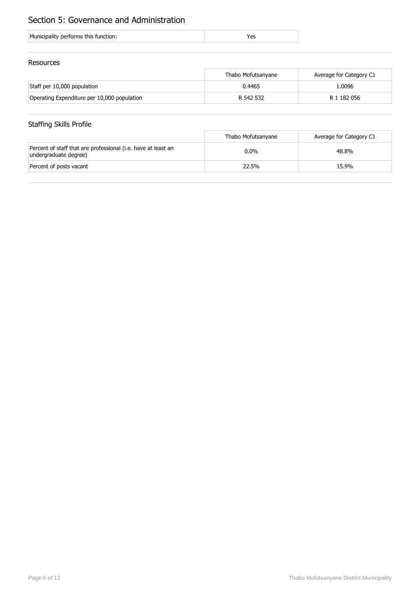## Section 5: Governance and Administration

| Municipality performs this function: |  |
|--------------------------------------|--|
|                                      |  |

#### Resources

|                                             | Thabo Mofutsanyane | Average for Category C1 |
|---------------------------------------------|--------------------|-------------------------|
| Staff per 10,000 population                 | 0.4465             | 1.0096                  |
| Operating Expenditure per 10,000 population | R 542 532          | R 1 182 056             |

## Staffing Skills Profile

|                                                                                        | Thabo Mofutsanyane | Average for Category C1 |
|----------------------------------------------------------------------------------------|--------------------|-------------------------|
| Percent of staff that are professional (i.e. have at least an<br>undergraduate degree) | $0.0\%$            | 48.8%                   |
| Percent of posts vacant                                                                | 22.5%              | 15.9%                   |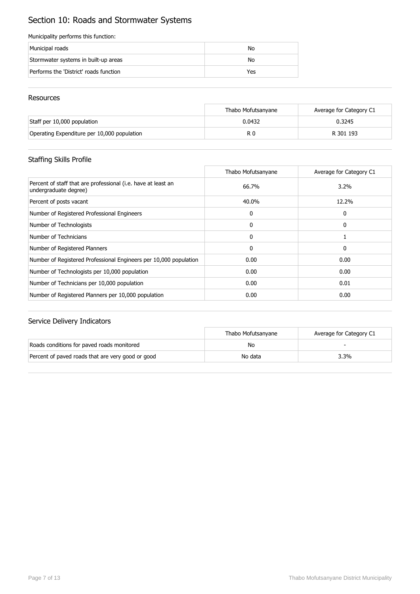# Section 10: Roads and Stormwater Systems

#### Municipality performs this function:

| Municipal roads                        | No  |
|----------------------------------------|-----|
| Stormwater systems in built-up areas   | No  |
| Performs the 'District' roads function | Yes |

#### Resources

|                                             | Thabo Mofutsanyane | Average for Category C1 |
|---------------------------------------------|--------------------|-------------------------|
| Staff per 10,000 population                 | 0.0432             | 0.3245                  |
| Operating Expenditure per 10,000 population | R C                | R 301 193               |

### Staffing Skills Profile

|                                                                                        | Thabo Mofutsanyane | Average for Category C1 |
|----------------------------------------------------------------------------------------|--------------------|-------------------------|
| Percent of staff that are professional (i.e. have at least an<br>undergraduate degree) | 66.7%              | 3.2%                    |
| Percent of posts vacant                                                                | 40.0%              | 12.2%                   |
| Number of Registered Professional Engineers                                            | 0                  | 0                       |
| Number of Technologists                                                                | 0                  | 0                       |
| Number of Technicians                                                                  | $\mathbf{0}$       |                         |
| Number of Registered Planners                                                          | 0                  | 0                       |
| Number of Registered Professional Engineers per 10,000 population                      | 0.00               | 0.00                    |
| Number of Technologists per 10,000 population                                          | 0.00               | 0.00                    |
| Number of Technicians per 10,000 population                                            | 0.00               | 0.01                    |
| Number of Registered Planners per 10,000 population                                    | 0.00               | 0.00                    |

|                                                   | Thabo Mofutsanvane | Average for Category C1 |
|---------------------------------------------------|--------------------|-------------------------|
| Roads conditions for paved roads monitored        | No                 |                         |
| Percent of paved roads that are very good or good | No data            | 3.3%                    |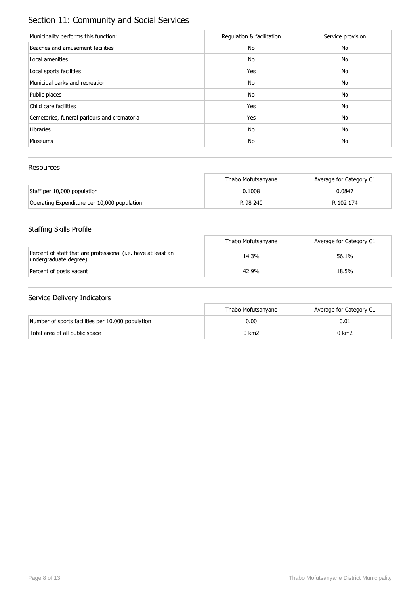# Section 11: Community and Social Services

| Municipality performs this function:        | Regulation & facilitation | Service provision |
|---------------------------------------------|---------------------------|-------------------|
| Beaches and amusement facilities            | No                        | No                |
| Local amenities                             | No                        | No                |
| Local sports facilities                     | Yes                       | No                |
| Municipal parks and recreation              | No                        | No                |
| Public places                               | No                        | No                |
| Child care facilities                       | Yes                       | No                |
| Cemeteries, funeral parlours and crematoria | Yes                       | No                |
| Libraries                                   | No                        | No                |
| <b>Museums</b>                              | No                        | No                |

#### Resources

|                                             | Thabo Mofutsanyane | Average for Category C1 |
|---------------------------------------------|--------------------|-------------------------|
| Staff per 10,000 population                 | 0.1008             | 0.0847                  |
| Operating Expenditure per 10,000 population | R 98 240           | R 102 174               |

## Staffing Skills Profile

|                                                                                        | Thabo Mofutsanyane | Average for Category C1 |
|----------------------------------------------------------------------------------------|--------------------|-------------------------|
| Percent of staff that are professional (i.e. have at least an<br>undergraduate degree) | 14.3%              | 56.1%                   |
| Percent of posts vacant                                                                | 42.9%              | 18.5%                   |

|                                                   | Thabo Mofutsanvane | Average for Category C1 |
|---------------------------------------------------|--------------------|-------------------------|
| Number of sports facilities per 10,000 population | 0.00               | 0.01                    |
| Total area of all public space                    | 0 km2              | 0 km2                   |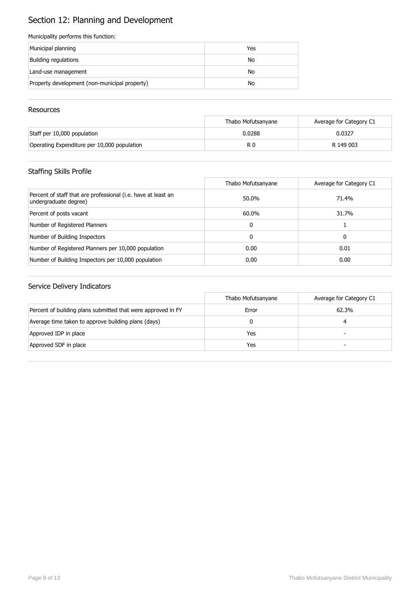# Section 12: Planning and Development

#### Municipality performs this function:

| Municipal planning                            | Yes |
|-----------------------------------------------|-----|
| Building regulations                          | No  |
| Land-use management                           | No  |
| Property development (non-municipal property) | No  |

#### **Resources**

|                                             | Thabo Mofutsanyane | Average for Category C1 |
|---------------------------------------------|--------------------|-------------------------|
| Staff per 10,000 population                 | 0.0288             | 0.0327                  |
| Operating Expenditure per 10,000 population | R 0                | R 149 003               |

## Staffing Skills Profile

|                                                                                        | Thabo Mofutsanyane | Average for Category C1 |
|----------------------------------------------------------------------------------------|--------------------|-------------------------|
| Percent of staff that are professional (i.e. have at least an<br>undergraduate degree) | 50.0%              | 71.4%                   |
| Percent of posts vacant                                                                | 60.0%              | 31.7%                   |
| Number of Registered Planners                                                          | 0                  |                         |
| Number of Building Inspectors                                                          | 0                  | 0                       |
| Number of Registered Planners per 10,000 population                                    | 0.00               | 0.01                    |
| Number of Building Inspectors per 10,000 population                                    | 0.00               | 0.00                    |

|                                                              | Thabo Mofutsanyane | Average for Category C1 |
|--------------------------------------------------------------|--------------------|-------------------------|
| Percent of building plans submitted that were approved in FY | Error              | 62.3%                   |
| Average time taken to approve building plans (days)          |                    |                         |
| Approved IDP in place                                        | Yes                |                         |
| Approved SDF in place                                        | Yes                |                         |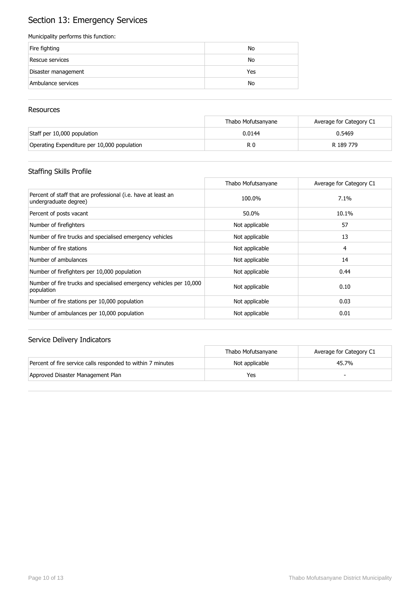# Section 13: Emergency Services

#### Municipality performs this function:

| Fire fighting       | No  |
|---------------------|-----|
| Rescue services     | No  |
| Disaster management | Yes |
| Ambulance services  | No  |

#### **Resources**

|                                             | Thabo Mofutsanyane | Average for Category C1 |
|---------------------------------------------|--------------------|-------------------------|
| Staff per 10,000 population                 | 0.0144             | 0.5469                  |
| Operating Expenditure per 10,000 population | R 0                | R 189 779               |

## Staffing Skills Profile

|                                                                                        | Thabo Mofutsanyane | Average for Category C1 |
|----------------------------------------------------------------------------------------|--------------------|-------------------------|
| Percent of staff that are professional (i.e. have at least an<br>undergraduate degree) | 100.0%             | 7.1%                    |
| Percent of posts vacant                                                                | 50.0%              | 10.1%                   |
| Number of firefighters                                                                 | Not applicable     | 57                      |
| Number of fire trucks and specialised emergency vehicles                               | Not applicable     | 13                      |
| Number of fire stations                                                                | Not applicable     | 4                       |
| Number of ambulances                                                                   | Not applicable     | 14                      |
| Number of firefighters per 10,000 population                                           | Not applicable     | 0.44                    |
| Number of fire trucks and specialised emergency vehicles per 10,000<br>population      | Not applicable     | 0.10                    |
| Number of fire stations per 10,000 population                                          | Not applicable     | 0.03                    |
| Number of ambulances per 10,000 population                                             | Not applicable     | 0.01                    |

|                                                             | Thabo Mofutsanvane | Average for Category C1 |
|-------------------------------------------------------------|--------------------|-------------------------|
| Percent of fire service calls responded to within 7 minutes | Not applicable     | 45.7%                   |
| Approved Disaster Management Plan                           | Yes                |                         |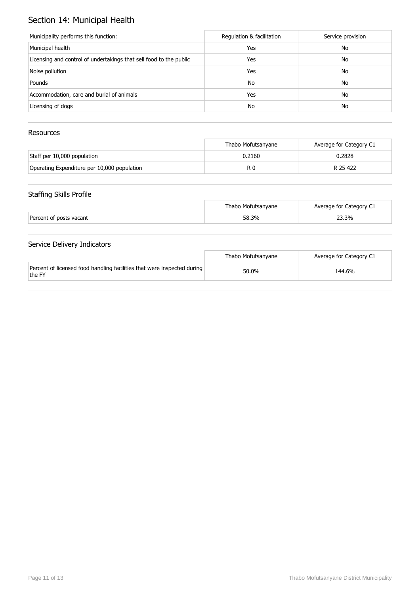# Section 14: Municipal Health

| Municipality performs this function:                               | Regulation & facilitation | Service provision |
|--------------------------------------------------------------------|---------------------------|-------------------|
| Municipal health                                                   | Yes                       | No                |
| Licensing and control of undertakings that sell food to the public | Yes                       | No                |
| Noise pollution                                                    | Yes                       | No                |
| Pounds                                                             | No                        | No                |
| Accommodation, care and burial of animals                          | Yes                       | No                |
| Licensing of dogs                                                  | No                        | No                |

### Resources

|                                             | Thabo Mofutsanyane | Average for Category C1 |
|---------------------------------------------|--------------------|-------------------------|
| Staff per 10,000 population                 | 0.2160             | 0.2828                  |
| Operating Expenditure per 10,000 population | R 0                | R 25 422                |

### Staffing Skills Profile

|                         | Thabo Mofutsanyane | Average for Category C1 |
|-------------------------|--------------------|-------------------------|
| Percent of posts vacant | 58.3%              | 23.3%                   |

|                                                                                   | Thabo Mofutsanvane | Average for Category C1 |
|-----------------------------------------------------------------------------------|--------------------|-------------------------|
| Percent of licensed food handling facilities that were inspected during<br>the FY | 50.0%              | 144.6%                  |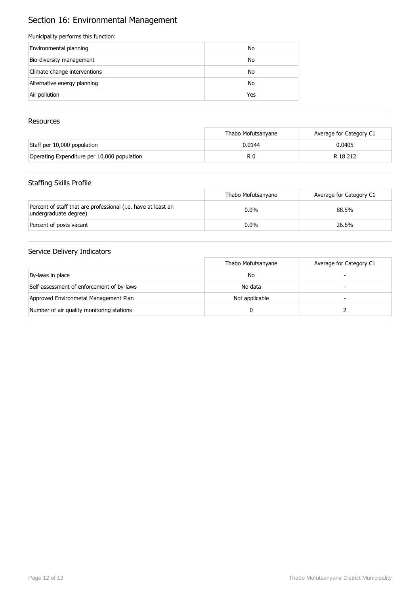# Section 16: Environmental Management

#### Municipality performs this function:

| Environmental planning       | No  |
|------------------------------|-----|
| Bio-diversity management     | No  |
| Climate change interventions | No  |
| Alternative energy planning  | No  |
| Air pollution                | Yes |

### Resources

|                                             | Thabo Mofutsanvane | Average for Category C1 |
|---------------------------------------------|--------------------|-------------------------|
| Staff per 10,000 population                 | 0.0144             | 0.0405                  |
| Operating Expenditure per 10,000 population | R 0                | R 18 212                |

### Staffing Skills Profile

|                                                                                        | Thabo Mofutsanvane | Average for Category C1 |
|----------------------------------------------------------------------------------------|--------------------|-------------------------|
| Percent of staff that are professional (i.e. have at least an<br>undergraduate degree) | $0.0\%$            | 88.5%                   |
| Percent of posts vacant                                                                | $0.0\%$            | 26.6%                   |

|                                           | Thabo Mofutsanyane | Average for Category C1 |
|-------------------------------------------|--------------------|-------------------------|
| By-laws in place                          | No                 |                         |
| Self-assessment of enforcement of by-laws | No data            |                         |
| Approved Environmetal Management Plan     | Not applicable     |                         |
| Number of air quality monitoring stations |                    |                         |